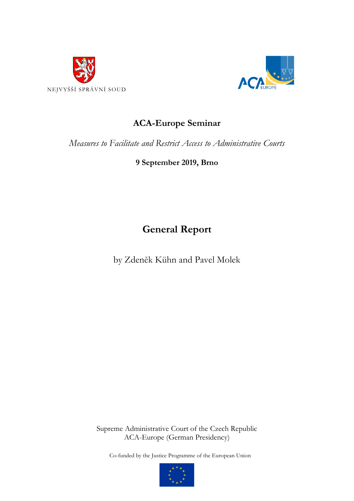



# **ACA-Europe Seminar**

*Measures to Facilitate and Restrict Access to Administrative Courts*

**9 September 2019, Brno**

**General Report**

by Zdeněk Kühn and Pavel Molek

Supreme Administrative Court of the Czech Republic ACA-Europe (German Presidency)

Co-funded by the Justice Programme of the European Union

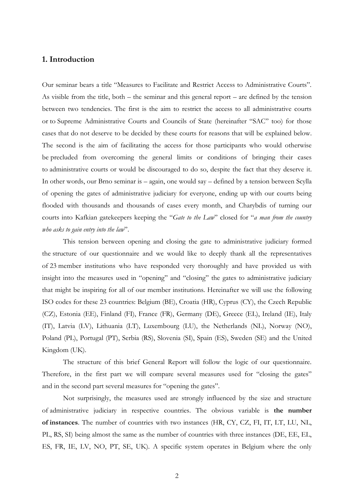## **1. Introduction**

Our seminar bears a title "Measures to Facilitate and Restrict Access to Administrative Courts". As visible from the title, both – the seminar and this general report – are defined by the tension between two tendencies. The first is the aim to restrict the access to all administrative courts or to Supreme Administrative Courts and Councils of State (hereinafter "SAC" too) for those cases that do not deserve to be decided by these courts for reasons that will be explained below. The second is the aim of facilitating the access for those participants who would otherwise be precluded from overcoming the general limits or conditions of bringing their cases to administrative courts or would be discouraged to do so, despite the fact that they deserve it. In other words, our Brno seminar is – again, one would say – defined by a tension between Scylla of opening the gates of administrative judiciary for everyone, ending up with our courts being flooded with thousands and thousands of cases every month, and Charybdis of turning our courts into Kafkian gatekeepers keeping the "*Gate to the Law*" closed for "*a man from the country who asks to gain entry into the law*".

This tension between opening and closing the gate to administrative judiciary formed the structure of our questionnaire and we would like to deeply thank all the representatives of 23 member institutions who have responded very thoroughly and have provided us with insight into the measures used in "opening" and "closing" the gates to administrative judiciary that might be inspiring for all of our member institutions. Hereinafter we will use the following ISO codes for these 23 countries: Belgium (BE), Croatia (HR), Cyprus (CY), the Czech Republic (CZ), Estonia (EE), Finland (FI), France (FR), Germany (DE), Greece (EL), Ireland (IE), Italy (IT), Latvia (LV), Lithuania (LT), Luxembourg (LU), the Netherlands (NL), Norway (NO), Poland (PL), Portugal (PT), Serbia (RS), Slovenia (SI), Spain (ES), Sweden (SE) and the United Kingdom (UK).

The structure of this brief General Report will follow the logic of our questionnaire. Therefore, in the first part we will compare several measures used for "closing the gates" and in the second part several measures for "opening the gates".

Not surprisingly, the measures used are strongly influenced by the size and structure of administrative judiciary in respective countries. The obvious variable is **the number of instances**. The number of countries with two instances (HR, CY, CZ, FI, IT, LT, LU, NL, PL, RS, SI) being almost the same as the number of countries with three instances (DE, EE, EL, ES, FR, IE, LV, NO, PT, SE, UK). A specific system operates in Belgium where the only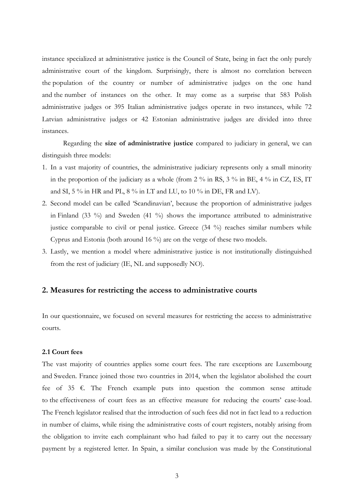instance specialized at administrative justice is the Council of State, being in fact the only purely administrative court of the kingdom. Surprisingly, there is almost no correlation between the population of the country or number of administrative judges on the one hand and the number of instances on the other. It may come as a surprise that 583 Polish administrative judges or 395 Italian administrative judges operate in two instances, while 72 Latvian administrative judges or 42 Estonian administrative judges are divided into three instances.

Regarding the **size of administrative justice** compared to judiciary in general, we can distinguish three models:

- 1. In a vast majority of countries, the administrative judiciary represents only a small minority in the proportion of the judiciary as a whole (from 2  $\%$  in RS, 3  $\%$  in BE, 4  $\%$  in CZ, ES, IT and SI, 5 % in HR and PL, 8 % in LT and LU, to 10 % in DE, FR and LV).
- 2. Second model can be called 'Scandinavian', because the proportion of administrative judges in Finland (33 %) and Sweden (41 %) shows the importance attributed to administrative justice comparable to civil or penal justice. Greece (34 %) reaches similar numbers while Cyprus and Estonia (both around 16 %) are on the verge of these two models.
- 3. Lastly, we mention a model where administrative justice is not institutionally distinguished from the rest of judiciary (IE, NL and supposedly NO).

## **2. Measures for restricting the access to administrative courts**

In our questionnaire, we focused on several measures for restricting the access to administrative courts.

## **2.1 Court fees**

The vast majority of countries applies some court fees. The rare exceptions are Luxembourg and Sweden. France joined those two countries in 2014, when the legislator abolished the court fee of 35  $\epsilon$ . The French example puts into question the common sense attitude to the effectiveness of court fees as an effective measure for reducing the courts' case-load. The French legislator realised that the introduction of such fees did not in fact lead to a reduction in number of claims, while rising the administrative costs of court registers, notably arising from the obligation to invite each complainant who had failed to pay it to carry out the necessary payment by a registered letter. In Spain, a similar conclusion was made by the Constitutional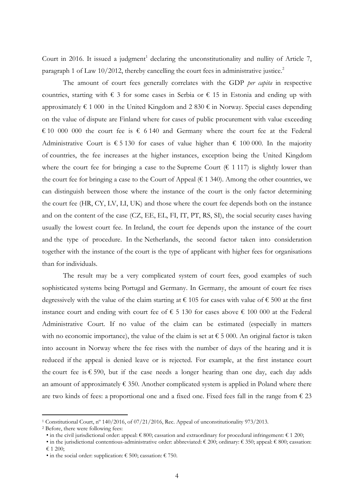Court in 2016. It issued a judgment<sup>1</sup> declaring the unconstitutionality and nullity of Article 7, paragraph 1 of Law 10/2012, thereby cancelling the court fees in administrative justice.<sup>2</sup>

The amount of court fees generally correlates with the GDP *per capita* in respective countries, starting with  $\epsilon$  3 for some cases in Serbia or  $\epsilon$  15 in Estonia and ending up with approximately  $\epsilon$  1 000 in the United Kingdom and 2 830  $\epsilon$  in Norway. Special cases depending on the value of dispute are Finland where for cases of public procurement with value exceeding € 10 000 000 the court fee is  $\epsilon$  6 140 and Germany where the court fee at the Federal Administrative Court is  $\epsilon$  5 130 for cases of value higher than  $\epsilon$  100 000. In the majority of countries, the fee increases at the higher instances, exception being the United Kingdom where the court fee for bringing a case to the Supreme Court ( $\epsilon$  1 117) is slightly lower than the court fee for bringing a case to the Court of Appeal ( $\epsilon$  1 340). Among the other countries, we can distinguish between those where the instance of the court is the only factor determining the court fee (HR, CY, LV, LI, UK) and those where the court fee depends both on the instance and on the content of the case (CZ, EE, EL, FI, IT, PT, RS, SI), the social security cases having usually the lowest court fee. In Ireland, the court fee depends upon the instance of the court and the type of procedure. In the Netherlands, the second factor taken into consideration together with the instance of the court is the type of applicant with higher fees for organisations than for individuals.

The result may be a very complicated system of court fees, good examples of such sophisticated systems being Portugal and Germany. In Germany, the amount of court fee rises degressively with the value of the claim starting at  $\epsilon$  105 for cases with value of  $\epsilon$  500 at the first instance court and ending with court fee of  $\epsilon$  5 130 for cases above  $\epsilon$  100 000 at the Federal Administrative Court. If no value of the claim can be estimated (especially in matters with no economic importance), the value of the claim is set at  $\epsilon$  5 000. An original factor is taken into account in Norway where the fee rises with the number of days of the hearing and it is reduced if the appeal is denied leave or is rejected. For example, at the first instance court the court fee is  $\epsilon$  590, but if the case needs a longer hearing than one day, each day adds an amount of approximately  $\epsilon$  350. Another complicated system is applied in Poland where there are two kinds of fees: a proportional one and a fixed one. Fixed fees fall in the range from  $\epsilon$  23

-

<sup>1</sup> Constitutional Court, nº 140/2016, of 07/21/2016, Rec. Appeal of unconstitutionality 973/2013.

<sup>2</sup> Before, there were following fees:

<sup>•</sup> in the civil jurisdictional order: appeal:  $\epsilon$  800; cassation and extraordinary for procedural infringement:  $\epsilon$  1 200;

<sup>•</sup> in the jurisdictional contentious-administrative order: abbreviated:  $\epsilon$  200; ordinary:  $\epsilon$  350; appeal:  $\epsilon$  800; cassation: € 1 200;

<sup>•</sup> in the social order: supplication:  $\epsilon$  500; cassation:  $\epsilon$  750.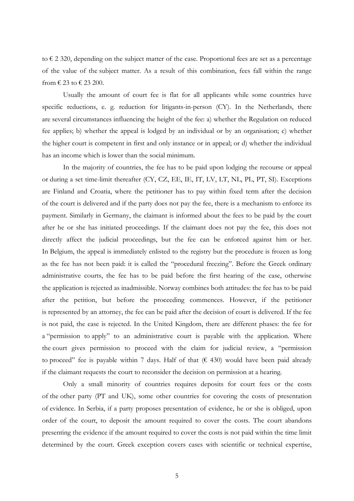to  $\epsilon$  2 320, depending on the subject matter of the case. Proportional fees are set as a percentage of the value of the subject matter. As a result of this combination, fees fall within the range from  $\text{\textsterling}$  23 to  $\text{\textsterling}$  23 200.

Usually the amount of court fee is flat for all applicants while some countries have specific reductions, e. g. reduction for litigants-in-person (CY). In the Netherlands, there are several circumstances influencing the height of the fee: a) whether the Regulation on reduced fee applies; b) whether the appeal is lodged by an individual or by an organisation; c) whether the higher court is competent in first and only instance or in appeal; or d) whether the individual has an income which is lower than the social minimum.

In the majority of countries, the fee has to be paid upon lodging the recourse or appeal or during a set time-limit thereafter (CY, CZ, EE, IE, IT, LV, LT, NL, PL, PT, SI). Exceptions are Finland and Croatia, where the petitioner has to pay within fixed term after the decision of the court is delivered and if the party does not pay the fee, there is a mechanism to enforce its payment. Similarly in Germany, the claimant is informed about the fees to be paid by the court after he or she has initiated proceedings. If the claimant does not pay the fee, this does not directly affect the judicial proceedings, but the fee can be enforced against him or her. In Belgium, the appeal is immediately enlisted to the registry but the procedure is frozen as long as the fee has not been paid: it is called the "procedural freezing". Before the Greek ordinary administrative courts, the fee has to be paid before the first hearing of the case, otherwise the application is rejected as inadmissible. Norway combines both attitudes: the fee has to be paid after the petition, but before the proceeding commences. However, if the petitioner is represented by an attorney, the fee can be paid after the decision of court is delivered. If the fee is not paid, the case is rejected. In the United Kingdom, there are different phases: the fee for a "permission to apply" to an administrative court is payable with the application. Where the court gives permission to proceed with the claim for judicial review, a "permission to proceed" fee is payable within 7 days. Half of that  $(6.430)$  would have been paid already if the claimant requests the court to reconsider the decision on permission at a hearing.

Only a small minority of countries requires deposits for court fees or the costs of the other party (PT and UK), some other countries for covering the costs of presentation of evidence. In Serbia, if a party proposes presentation of evidence, he or she is obliged, upon order of the court, to deposit the amount required to cover the costs. The court abandons presenting the evidence if the amount required to cover the costs is not paid within the time limit determined by the court. Greek exception covers cases with scientific or technical expertise,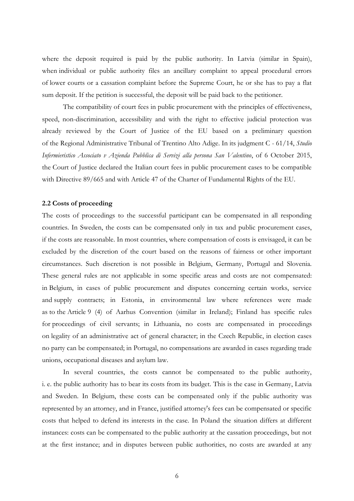where the deposit required is paid by the public authority. In Latvia (similar in Spain), when individual or public authority files an ancillary complaint to appeal procedural errors of lower courts or a cassation complaint before the Supreme Court, he or she has to pay a flat sum deposit. If the petition is successful, the deposit will be paid back to the petitioner.

The compatibility of court fees in public procurement with the principles of effectiveness, speed, non-discrimination, accessibility and with the right to effective judicial protection was already reviewed by the Court of Justice of the EU based on a preliminary question of the Regional Administrative Tribunal of Trentino Alto Adige. In its judgment C - 61/14, *Studio Infermieristico Associato v Azienda Pubblica di Servizi alla persona San Valentino*, of 6 October 2015, the Court of Justice declared the Italian court fees in public procurement cases to be compatible with Directive 89/665 and with Article 47 of the Charter of Fundamental Rights of the EU.

#### **2.2 Costs of proceeding**

The costs of proceedings to the successful participant can be compensated in all responding countries. In Sweden, the costs can be compensated only in tax and public procurement cases, if the costs are reasonable. In most countries, where compensation of costs is envisaged, it can be excluded by the discretion of the court based on the reasons of fairness or other important circumstances. Such discretion is not possible in Belgium, Germany, Portugal and Slovenia. These general rules are not applicable in some specific areas and costs are not compensated: in Belgium, in cases of public procurement and disputes concerning certain works, service and supply contracts; in Estonia, in environmental law where references were made as to the Article 9 (4) of Aarhus Convention (similar in Ireland); Finland has specific rules for proceedings of civil servants; in Lithuania, no costs are compensated in proceedings on legality of an administrative act of general character; in the Czech Republic, in election cases no party can be compensated; in Portugal, no compensations are awarded in cases regarding trade unions, occupational diseases and asylum law.

In several countries, the costs cannot be compensated to the public authority, i. e. the public authority has to bear its costs from its budget. This is the case in Germany, Latvia and Sweden. In Belgium, these costs can be compensated only if the public authority was represented by an attorney, and in France, justified attorney's fees can be compensated or specific costs that helped to defend its interests in the case. In Poland the situation differs at different instances: costs can be compensated to the public authority at the cassation proceedings, but not at the first instance; and in disputes between public authorities, no costs are awarded at any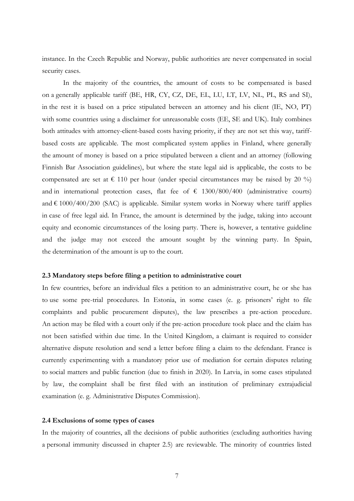instance. In the Czech Republic and Norway, public authorities are never compensated in social security cases.

In the majority of the countries, the amount of costs to be compensated is based on a generally applicable tariff (BE, HR, CY, CZ, DE, EL, LU, LT, LV, NL, PL, RS and SI), in the rest it is based on a price stipulated between an attorney and his client (IE, NO, PT) with some countries using a disclaimer for unreasonable costs (EE, SE and UK). Italy combines both attitudes with attorney-client-based costs having priority, if they are not set this way, tariffbased costs are applicable. The most complicated system applies in Finland, where generally the amount of money is based on a price stipulated between a client and an attorney (following Finnish Bar Association guidelines), but where the state legal aid is applicable, the costs to be compensated are set at  $\epsilon$  110 per hour (under special circumstances may be raised by 20 %) and in international protection cases, flat fee of  $\epsilon$  1300/800/400 (administrative courts) and  $\epsilon$  1000/400/200 (SAC) is applicable. Similar system works in Norway where tariff applies in case of free legal aid. In France, the amount is determined by the judge, taking into account equity and economic circumstances of the losing party. There is, however, a tentative guideline and the judge may not exceed the amount sought by the winning party. In Spain, the determination of the amount is up to the court.

#### **2.3 Mandatory steps before filing a petition to administrative court**

In few countries, before an individual files a petition to an administrative court, he or she has to use some pre-trial procedures. In Estonia, in some cases (e. g. prisoners' right to file complaints and public procurement disputes), the law prescribes a pre-action procedure. An action may be filed with a court only if the pre-action procedure took place and the claim has not been satisfied within due time. In the United Kingdom, a claimant is required to consider alternative dispute resolution and send a letter before filing a claim to the defendant. France is currently experimenting with a mandatory prior use of mediation for certain disputes relating to social matters and public function (due to finish in 2020). In Latvia, in some cases stipulated by law, the complaint shall be first filed with an institution of preliminary extrajudicial examination (e. g. Administrative Disputes Commission).

## **2.4 Exclusions of some types of cases**

In the majority of countries, all the decisions of public authorities (excluding authorities having a personal immunity discussed in chapter 2.5) are reviewable. The minority of countries listed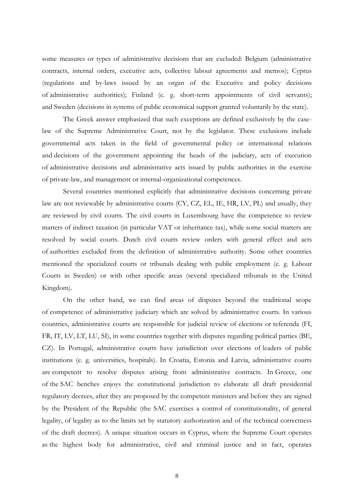some measures or types of administrative decisions that are excluded: Belgium (administrative contracts, internal orders, executive acts, collective labour agreements and memos); Cyprus (regulations and by-laws issued by an organ of the Executive and policy decisions of administrative authorities); Finland (e. g. short-term appointments of civil servants); and Sweden (decisions in systems of public economical support granted voluntarily by the state).

The Greek answer emphasized that such exceptions are defined exclusively by the caselaw of the Supreme Administrative Court, not by the legislator. These exclusions include governmental acts taken in the field of governmental policy or international relations and decisions of the government appointing the heads of the judiciary, acts of execution of administrative decisions and administrative acts issued by public authorities in the exercise of private-law, and management or internal-organizational competences.

Several countries mentioned explicitly that administrative decisions concerning private law are not reviewable by administrative courts (CY, CZ, EL, IE, HR, LV, PL) and usually, they are reviewed by civil courts. The civil courts in Luxembourg have the competence to review matters of indirect taxation (in particular VAT or inheritance tax), while some social matters are resolved by social courts. Dutch civil courts review orders with general effect and acts of authorities excluded from the definition of administrative authority. Some other countries mentioned the specialized courts or tribunals dealing with public employment (e. g. Labour Courts in Sweden) or with other specific areas (several specialized tribunals in the United Kingdom).

On the other hand, we can find areas of disputes beyond the traditional scope of competence of administrative judiciary which are solved by administrative courts. In various countries, administrative courts are responsible for judicial review of elections or referenda (FI, FR, IT, LV, LT, LU, SI), in some countries together with disputes regarding political parties (BE, CZ). In Portugal, administrative courts have jurisdiction over elections of leaders of public institutions (e. g. universities, hospitals). In Croatia, Estonia and Latvia, administrative courts are competent to resolve disputes arising from administrative contracts. In Greece, one of the SAC benches enjoys the constitutional jurisdiction to elaborate all draft presidential regulatory decrees, after they are proposed by the competent ministers and before they are signed by the President of the Republic (the SAC exercises a control of constitutionality, of general legality, of legality as to the limits set by statutory authorization and of the technical correctness of the draft decrees). A unique situation occurs in Cyprus, where the Supreme Court operates as the highest body for administrative, civil and criminal justice and in fact, operates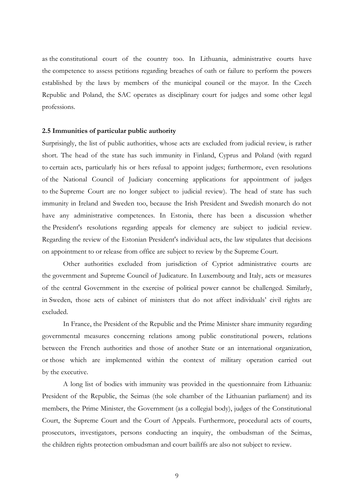as the constitutional court of the country too. In Lithuania, administrative courts have the competence to assess petitions regarding breaches of oath or failure to perform the powers established by the laws by members of the municipal council or the mayor. In the Czech Republic and Poland, the SAC operates as disciplinary court for judges and some other legal professions.

#### **2.5 Immunities of particular public authority**

Surprisingly, the list of public authorities, whose acts are excluded from judicial review, is rather short. The head of the state has such immunity in Finland, Cyprus and Poland (with regard to certain acts, particularly his or hers refusal to appoint judges; furthermore, even resolutions of the National Council of Judiciary concerning applications for appointment of judges to the Supreme Court are no longer subject to judicial review). The head of state has such immunity in Ireland and Sweden too, because the Irish President and Swedish monarch do not have any administrative competences. In Estonia, there has been a discussion whether the President's resolutions regarding appeals for clemency are subject to judicial review. Regarding the review of the Estonian President's individual acts, the law stipulates that decisions on appointment to or release from office are subject to review by the Supreme Court.

Other authorities excluded from jurisdiction of Cypriot administrative courts are the government and Supreme Council of Judicature. In Luxembourg and Italy, acts or measures of the central Government in the exercise of political power cannot be challenged. Similarly, in Sweden, those acts of cabinet of ministers that do not affect individuals' civil rights are excluded.

In France, the President of the Republic and the Prime Minister share immunity regarding governmental measures concerning relations among public constitutional powers, relations between the French authorities and those of another State or an international organization, or those which are implemented within the context of military operation carried out by the executive.

A long list of bodies with immunity was provided in the questionnaire from Lithuania: President of the Republic, the Seimas (the sole chamber of the Lithuanian parliament) and its members, the Prime Minister, the Government (as a collegial body), judges of the Constitutional Court, the Supreme Court and the Court of Appeals. Furthermore, procedural acts of courts, prosecutors, investigators, persons conducting an inquiry, the ombudsman of the Seimas, the children rights protection ombudsman and court bailiffs are also not subject to review.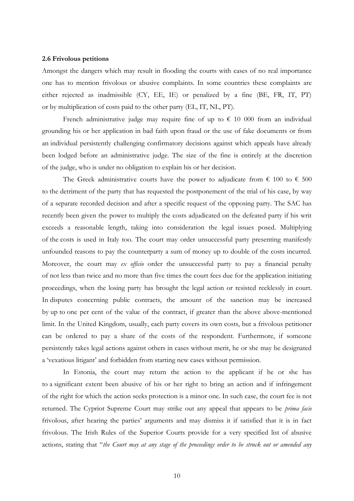#### **2.6 Frivolous petitions**

Amongst the dangers which may result in flooding the courts with cases of no real importance one has to mention frivolous or abusive complaints. In some countries these complaints are either rejected as inadmissible (CY, EE, IE) or penalized by a fine (BE, FR, IT, PT) or by multiplication of costs paid to the other party (EL, IT, NL, PT).

French administrative judge may require fine of up to  $\epsilon$  10 000 from an individual grounding his or her application in bad faith upon fraud or the use of fake documents or from an individual persistently challenging confirmatory decisions against which appeals have already been lodged before an administrative judge. The size of the fine is entirely at the discretion of the judge, who is under no obligation to explain his or her decision.

The Greek administrative courts have the power to adjudicate from  $\epsilon$  100 to  $\epsilon$  500 to the detriment of the party that has requested the postponement of the trial of his case, by way of a separate recorded decision and after a specific request of the opposing party. The SAC has recently been given the power to multiply the costs adjudicated on the defeated party if his writ exceeds a reasonable length, taking into consideration the legal issues posed. Multiplying of the costs is used in Italy too. The court may order unsuccessful party presenting manifestly unfounded reasons to pay the counterparty a sum of money up to double of the costs incurred. Moreover, the court may *ex officio* order the unsuccessful party to pay a financial penalty of not less than twice and no more than five times the court fees due for the application initiating proceedings, when the losing party has brought the legal action or resisted recklessly in court. In disputes concerning public contracts, the amount of the sanction may be increased by up to one per cent of the value of the contract, if greater than the above above-mentioned limit. In the United Kingdom, usually, each party covers its own costs, but a frivolous petitioner can be ordered to pay a share of the costs of the respondent. Furthermore, if someone persistently takes legal actions against others in cases without merit, he or she may be designated a 'vexatious litigant' and forbidden from starting new cases without permission.

In Estonia, the court may return the action to the applicant if he or she has to a significant extent been abusive of his or her right to bring an action and if infringement of the right for which the action seeks protection is a minor one. In such case, the court fee is not returned. The Cypriot Supreme Court may strike out any appeal that appears to be *prima facie* frivolous, after hearing the parties' arguments and may dismiss it if satisfied that it is in fact frivolous. The Irish Rules of the Superior Courts provide for a very specified list of abusive actions, stating that "*the Court may at any stage of the proceedings order to be struck out or amended any*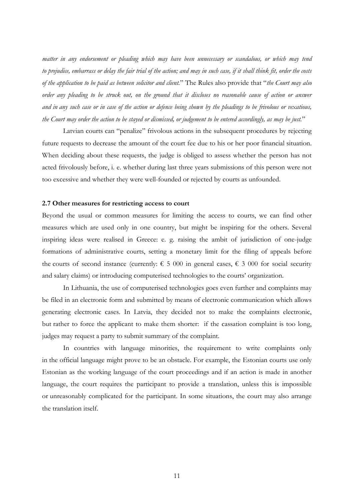*matter in any endorsement or pleading which may have been unnecessary or scandalous, or which may tend to prejudice, embarrass or delay the fair trial of the action; and may in such case, if it shall think fit, order the costs of the application to be paid as between solicitor and client.*" The Rules also provide that "*the Court may also order any pleading to be struck out, on the ground that it discloses no reasonable cause of action or answer and in any such case or in case of the action or defence being shown by the pleadings to be frivolous or vexatious, the Court may order the action to be stayed or dismissed, or judgement to be entered accordingly, as may be just.*"

Latvian courts can "penalize" frivolous actions in the subsequent procedures by rejecting future requests to decrease the amount of the court fee due to his or her poor financial situation. When deciding about these requests, the judge is obliged to assess whether the person has not acted frivolously before, i. e. whether during last three years submissions of this person were not too excessive and whether they were well-founded or rejected by courts as unfounded.

#### **2.7 Other measures for restricting access to court**

Beyond the usual or common measures for limiting the access to courts, we can find other measures which are used only in one country, but might be inspiring for the others. Several inspiring ideas were realised in Greece: e. g. raising the ambit of jurisdiction of one-judge formations of administrative courts, setting a monetary limit for the filing of appeals before the courts of second instance (currently:  $\epsilon$  5 000 in general cases,  $\epsilon$  3 000 for social security and salary claims) or introducing computerised technologies to the courts' organization.

In Lithuania, the use of computerised technologies goes even further and complaints may be filed in an electronic form and submitted by means of electronic communication which allows generating electronic cases. In Latvia, they decided not to make the complaints electronic, but rather to force the applicant to make them shorter: if the cassation complaint is too long, judges may request a party to submit summary of the complaint.

In countries with language minorities, the requirement to write complaints only in the official language might prove to be an obstacle. For example, the Estonian courts use only Estonian as the working language of the court proceedings and if an action is made in another language, the court requires the participant to provide a translation, unless this is impossible or unreasonably complicated for the participant. In some situations, the court may also arrange the translation itself.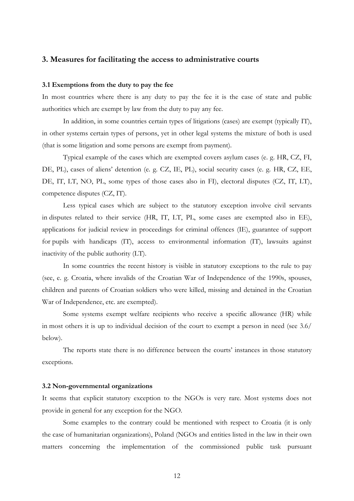## **3. Measures for facilitating the access to administrative courts**

#### **3.1 Exemptions from the duty to pay the fee**

In most countries where there is any duty to pay the fee it is the case of state and public authorities which are exempt by law from the duty to pay any fee.

In addition, in some countries certain types of litigations (cases) are exempt (typically IT), in other systems certain types of persons, yet in other legal systems the mixture of both is used (that is some litigation and some persons are exempt from payment).

Typical example of the cases which are exempted covers asylum cases (e. g. HR, CZ, FI, DE, PL), cases of aliens' detention (e. g. CZ, IE, PL), social security cases (e. g. HR, CZ, EE, DE, IT, LT, NO, PL, some types of those cases also in FI), electoral disputes (CZ, IT, LT), competence disputes (CZ, IT).

Less typical cases which are subject to the statutory exception involve civil servants in disputes related to their service (HR, IT, LT, PL, some cases are exempted also in EE), applications for judicial review in proceedings for criminal offences (IE), guarantee of support for pupils with handicaps (IT), access to environmental information (IT), lawsuits against inactivity of the public authority (LT).

In some countries the recent history is visible in statutory exceptions to the rule to pay (see, e. g. Croatia, where invalids of the Croatian War of Independence of the 1990s, spouses, children and parents of Croatian soldiers who were killed, missing and detained in the Croatian War of Independence, etc. are exempted).

Some systems exempt welfare recipients who receive a specific allowance (HR) while in most others it is up to individual decision of the court to exempt a person in need (see 3.6/ below).

The reports state there is no difference between the courts' instances in those statutory exceptions.

#### **3.2 Non-governmental organizations**

It seems that explicit statutory exception to the NGOs is very rare. Most systems does not provide in general for any exception for the NGO.

Some examples to the contrary could be mentioned with respect to Croatia (it is only the case of humanitarian organizations), Poland (NGOs and entities listed in the law in their own matters concerning the implementation of the commissioned public task pursuant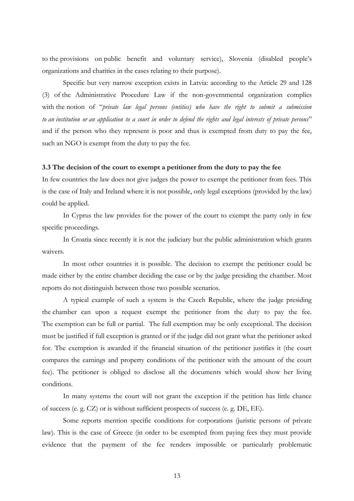to the provisions on public benefit and voluntary service), Slovenia (disabled people's organizations and charities in the cases relating to their purpose).

Specific but very narrow exception exists in Latvia: according to the Article 29 and 128 (3) of the Administrative Procedure Law if the non-governmental organization complies with the notion of "*private law legal persons (entities) who have the right to submit a submission to an institution or an application to a court in order to defend the rights and legal interests of private persons*" and if the person who they represent is poor and thus is exempted from duty to pay the fee, such an NGO is exempt from the duty to pay the fee.

## **3.3 The decision of the court to exempt a petitioner from the duty to pay the fee**

In few countries the law does not give judges the power to exempt the petitioner from fees. This is the case of Italy and Ireland where it is not possible, only legal exceptions (provided by the law) could be applied.

In Cyprus the law provides for the power of the court to exempt the party only in few specific proceedings.

In Croatia since recently it is not the judiciary but the public administration which grants waivers.

In most other countries it is possible. The decision to exempt the petitioner could be made either by the entire chamber deciding the case or by the judge presiding the chamber. Most reports do not distinguish between those two possible scenarios.

A typical example of such a system is the Czech Republic, where the judge presiding the chamber can upon a request exempt the petitioner from the duty to pay the fee. The exemption can be full or partial. The full exemption may be only exceptional. The decision must be justified if full exception is granted or if the judge did not grant what the petitioner asked for. The exemption is awarded if the financial situation of the petitioner justifies it (the court compares the earnings and property conditions of the petitioner with the amount of the court fee). The petitioner is obliged to disclose all the documents which would show her living conditions.

In many systems the court will not grant the exception if the petition has little chance of success (e. g. CZ) or is without sufficient prospects of success (e. g. DE, EE).

Some reports mention specific conditions for corporations (juristic persons of private law). This is the case of Greece (in order to be exempted from paying fees they must provide evidence that the payment of the fee renders impossible or particularly problematic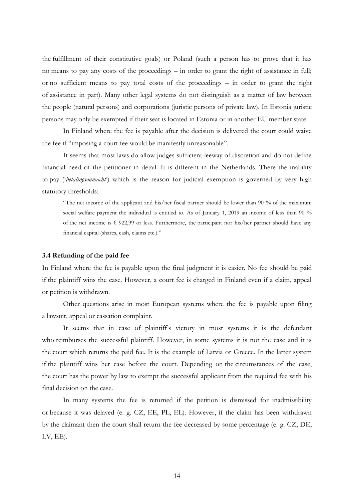the fulfillment of their constitutive goals) or Poland (such a person has to prove that it has no means to pay any costs of the proceedings – in order to grant the right of assistance in full; or no sufficient means to pay total costs of the proceedings – in order to grant the right of assistance in part). Many other legal systems do not distinguish as a matter of law between the people (natural persons) and corporations (juristic persons of private law). In Estonia juristic persons may only be exempted if their seat is located in Estonia or in another EU member state.

In Finland where the fee is payable after the decision is delivered the court could waive the fee if "imposing a court fee would be manifestly unreasonable".

It seems that most laws do allow judges sufficient leeway of discretion and do not define financial need of the petitioner in detail. It is different in the Netherlands. There the inability to pay ('*betalingsonmacht*') which is the reason for judicial exemption is governed by very high statutory thresholds:

"The net income of the applicant and his/her fiscal partner should be lower than 90 % of the maximum social welfare payment the individual is entitled to. As of January 1, 2019 an income of less than 90 % of the net income is  $\epsilon$  922,99 or less. Furthermore, the participant nor his/her partner should have any financial capital (shares, cash, claims etc.)."

#### **3.4 Refunding of the paid fee**

In Finland where the fee is payable upon the final judgment it is easier. No fee should be paid if the plaintiff wins the case. However, a court fee is charged in Finland even if a claim, appeal or petition is withdrawn.

Other questions arise in most European systems where the fee is payable upon filing a lawsuit, appeal or cassation complaint.

It seems that in case of plaintiff's victory in most systems it is the defendant who reimburses the successful plaintiff. However, in some systems it is not the case and it is the court which returns the paid fee. It is the example of Latvia or Greece. In the latter system if the plaintiff wins her case before the court. Depending on the circumstances of the case, the court has the power by law to exempt the successful applicant from the required fee with his final decision on the case.

In many systems the fee is returned if the petition is dismissed for inadmissibility or because it was delayed (e. g. CZ, EE, PL, EL). However, if the claim has been withdrawn by the claimant then the court shall return the fee decreased by some percentage (e. g. CZ, DE, LV, EE).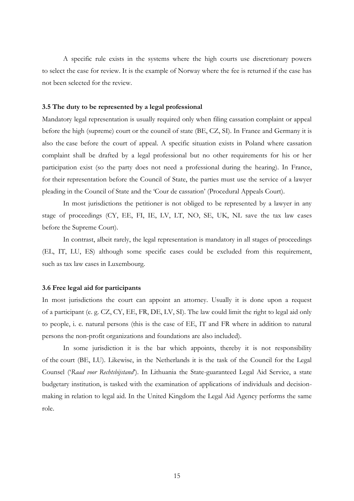A specific rule exists in the systems where the high courts use discretionary powers to select the case for review. It is the example of Norway where the fee is returned if the case has not been selected for the review.

## **3.5 The duty to be represented by a legal professional**

Mandatory legal representation is usually required only when filing cassation complaint or appeal before the high (supreme) court or the council of state (BE, CZ, SI). In France and Germany it is also the case before the court of appeal. A specific situation exists in Poland where cassation complaint shall be drafted by a legal professional but no other requirements for his or her participation exist (so the party does not need a professional during the hearing). In France, for their representation before the Council of State, the parties must use the service of a lawyer pleading in the Council of State and the 'Cour de cassation' (Procedural Appeals Court).

In most jurisdictions the petitioner is not obliged to be represented by a lawyer in any stage of proceedings (CY, EE, FI, IE, LV, LT, NO, SE, UK, NL save the tax law cases before the Supreme Court).

In contrast, albeit rarely, the legal representation is mandatory in all stages of proceedings (EL, IT, LU, ES) although some specific cases could be excluded from this requirement, such as tax law cases in Luxembourg.

#### **3.6 Free legal aid for participants**

In most jurisdictions the court can appoint an attorney. Usually it is done upon a request of a participant (e. g. CZ, CY, EE, FR, DE, LV, SI). The law could limit the right to legal aid only to people, i. e. natural persons (this is the case of EE, IT and FR where in addition to natural persons the non-profit organizations and foundations are also included).

In some jurisdiction it is the bar which appoints, thereby it is not responsibility of the court (BE, LU). Likewise, in the Netherlands it is the task of the Council for the Legal Counsel ('*Raad voor Rechtsbijstand*'). In Lithuania the State-guaranteed Legal Aid Service, a state budgetary institution, is tasked with the examination of applications of individuals and decisionmaking in relation to legal aid. In the United Kingdom the Legal Aid Agency performs the same role.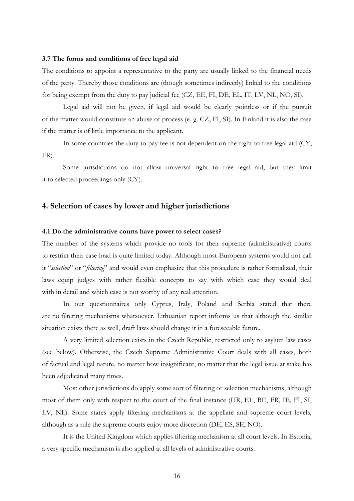#### **3.7 The forms and conditions of free legal aid**

The conditions to appoint a representative to the party are usually linked to the financial needs of the party. Thereby those conditions are (though sometimes indirectly) linked to the conditions for being exempt from the duty to pay judicial fee (CZ, EE, FI, DE, EL, IT, LV, NL, NO, SI).

Legal aid will not be given, if legal aid would be clearly pointless or if the pursuit of the matter would constitute an abuse of process (e. g. CZ, FI, SI). In Finland it is also the case if the matter is of little importance to the applicant.

In some countries the duty to pay fee is not dependent on the right to free legal aid (CY, FR).

Some jurisdictions do not allow universal right to free legal aid, but they limit it to selected proceedings only (CY).

# **4. Selection of cases by lower and higher jurisdictions**

## **4.1 Do the administrative courts have power to select cases?**

The number of the systems which provide no tools for their supreme (administrative) courts to restrict their case load is quite limited today. Although most European systems would not call it "*selection*" or "*filtering*" and would even emphasize that this procedure is rather formalized, their laws equip judges with rather flexible concepts to say with which case they would deal with in detail and which case is not worthy of any real attention.

In our questionnaires only Cyprus, Italy, Poland and Serbia stated that there are no filtering mechanisms whatsoever. Lithuanian report informs us that although the similar situation exists there as well, draft laws should change it in a foreseeable future.

A very limited selection exists in the Czech Republic, restricted only to asylum law cases (see below). Otherwise, the Czech Supreme Administrative Court deals with all cases, both of factual and legal nature, no matter how insignificant, no matter that the legal issue at stake has been adjudicated many times.

Most other jurisdictions do apply some sort of filtering or selection mechanisms, although most of them only with respect to the court of the final instance (HR, EL, BE, FR, IE, FI, SI, LV, NL). Some states apply filtering mechanisms at the appellate and supreme court levels, although as a rule the supreme courts enjoy more discretion (DE, ES, SE, NO).

It is the United Kingdom which applies filtering mechanism at all court levels. In Estonia, a very specific mechanism is also applied at all levels of administrative courts.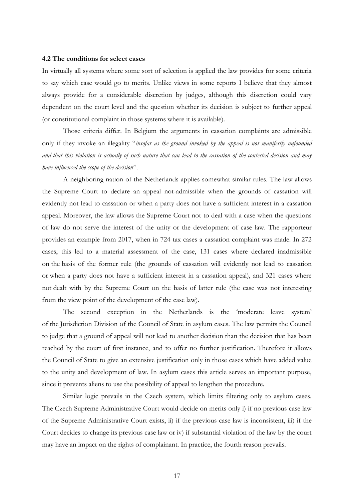#### **4.2 The conditions for select cases**

In virtually all systems where some sort of selection is applied the law provides for some criteria to say which case would go to merits. Unlike views in some reports I believe that they almost always provide for a considerable discretion by judges, although this discretion could vary dependent on the court level and the question whether its decision is subject to further appeal (or constitutional complaint in those systems where it is available).

Those criteria differ. In Belgium the arguments in cassation complaints are admissible only if they invoke an illegality "*insofar as the ground invoked by the appeal is not manifestly unfounded and that this violation is actually of such nature that can lead to the cassation of the contested decision and may have influenced the scope of the decision*".

A neighboring nation of the Netherlands applies somewhat similar rules. The law allows the Supreme Court to declare an appeal not-admissible when the grounds of cassation will evidently not lead to cassation or when a party does not have a sufficient interest in a cassation appeal. Moreover, the law allows the Supreme Court not to deal with a case when the questions of law do not serve the interest of the unity or the development of case law. The rapporteur provides an example from 2017, when in 724 tax cases a cassation complaint was made. In 272 cases, this led to a material assessment of the case, 131 cases where declared inadmissible on the basis of the former rule (the grounds of cassation will evidently not lead to cassation or when a party does not have a sufficient interest in a cassation appeal), and 321 cases where not dealt with by the Supreme Court on the basis of latter rule (the case was not interesting from the view point of the development of the case law).

The second exception in the Netherlands is the 'moderate leave system' of the Jurisdiction Division of the Council of State in asylum cases. The law permits the Council to judge that a ground of appeal will not lead to another decision than the decision that has been reached by the court of first instance, and to offer no further justification. Therefore it allows the Council of State to give an extensive justification only in those cases which have added value to the unity and development of law. In asylum cases this article serves an important purpose, since it prevents aliens to use the possibility of appeal to lengthen the procedure.

Similar logic prevails in the Czech system, which limits filtering only to asylum cases. The Czech Supreme Administrative Court would decide on merits only i) if no previous case law of the Supreme Administrative Court exists, ii) if the previous case law is inconsistent, iii) if the Court decides to change its previous case law or iv) if substantial violation of the law by the court may have an impact on the rights of complainant. In practice, the fourth reason prevails.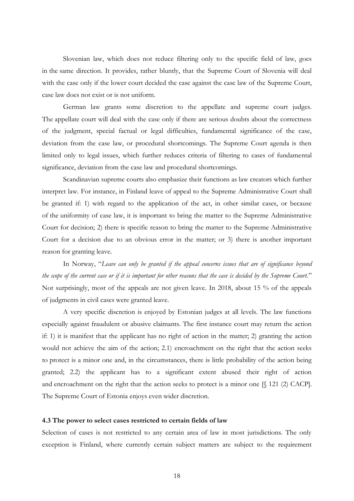Slovenian law, which does not reduce filtering only to the specific field of law, goes in the same direction. It provides, rather bluntly, that the Supreme Court of Slovenia will deal with the case only if the lower court decided the case against the case law of the Supreme Court, case law does not exist or is not uniform.

German law grants some discretion to the appellate and supreme court judges. The appellate court will deal with the case only if there are serious doubts about the correctness of the judgment, special factual or legal difficulties, fundamental significance of the case, deviation from the case law, or procedural shortcomings. The Supreme Court agenda is then limited only to legal issues, which further reduces criteria of filtering to cases of fundamental significance, deviation from the case law and procedural shortcomings.

Scandinavian supreme courts also emphasize their functions as law creators which further interpret law. For instance, in Finland leave of appeal to the Supreme Administrative Court shall be granted if: 1) with regard to the application of the act, in other similar cases, or because of the uniformity of case law, it is important to bring the matter to the Supreme Administrative Court for decision; 2) there is specific reason to bring the matter to the Supreme Administrative Court for a decision due to an obvious error in the matter; or 3) there is another important reason for granting leave.

In Norway, "*Leave can only be granted if the appeal concerns issues that are of significance beyond the scope of the current case or if it is important for other reasons that the case is decided by the Supreme Court.*" Not surprisingly, most of the appeals are not given leave. In 2018, about 15 % of the appeals of judgments in civil cases were granted leave.

A very specific discretion is enjoyed by Estonian judges at all levels. The law functions especially against fraudulent or abusive claimants. The first instance court may return the action if: 1) it is manifest that the applicant has no right of action in the matter; 2) granting the action would not achieve the aim of the action; 2.1) encroachment on the right that the action seeks to protect is a minor one and, in the circumstances, there is little probability of the action being granted; 2.2) the applicant has to a significant extent abused their right of action and encroachment on the right that the action seeks to protect is a minor one [§ 121 (2) CACP]. The Supreme Court of Estonia enjoys even wider discretion.

## **4.3 The power to select cases restricted to certain fields of law**

Selection of cases is not restricted to any certain area of law in most jurisdictions. The only exception is Finland, where currently certain subject matters are subject to the requirement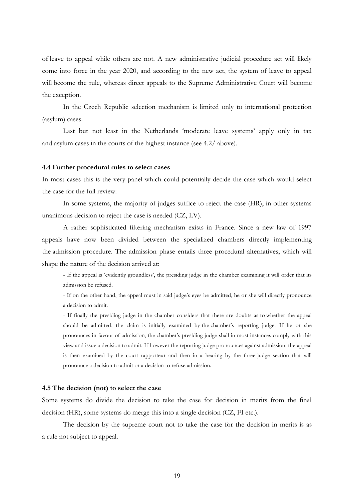of leave to appeal while others are not. A new administrative judicial procedure act will likely come into force in the year 2020, and according to the new act, the system of leave to appeal will become the rule, whereas direct appeals to the Supreme Administrative Court will become the exception.

In the Czech Republic selection mechanism is limited only to international protection (asylum) cases.

Last but not least in the Netherlands 'moderate leave systems' apply only in tax and asylum cases in the courts of the highest instance (see 4.2/ above).

## **4.4 Further procedural rules to select cases**

In most cases this is the very panel which could potentially decide the case which would select the case for the full review.

In some systems, the majority of judges suffice to reject the case (HR), in other systems unanimous decision to reject the case is needed (CZ, LV).

A rather sophisticated filtering mechanism exists in France. Since a new law of 1997 appeals have now been divided between the specialized chambers directly implementing the admission procedure. The admission phase entails three procedural alternatives, which will shape the nature of the decision arrived at:

- If the appeal is 'evidently groundless', the presiding judge in the chamber examining it will order that its admission be refused.

- If on the other hand, the appeal must in said judge's eyes be admitted, he or she will directly pronounce a decision to admit.

- If finally the presiding judge in the chamber considers that there are doubts as to whether the appeal should be admitted, the claim is initially examined by the chamber's reporting judge. If he or she pronounces in favour of admission, the chamber's presiding judge shall in most instances comply with this view and issue a decision to admit. If however the reporting judge pronounces against admission, the appeal is then examined by the court rapporteur and then in a hearing by the three-judge section that will pronounce a decision to admit or a decision to refuse admission.

## **4.5 The decision (not) to select the case**

Some systems do divide the decision to take the case for decision in merits from the final decision (HR), some systems do merge this into a single decision (CZ, FI etc.).

The decision by the supreme court not to take the case for the decision in merits is as a rule not subject to appeal.